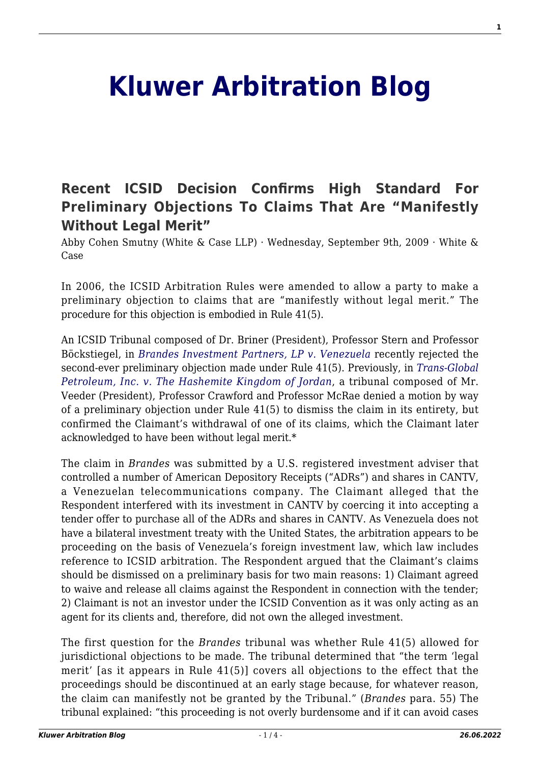## **[Kluwer Arbitration Blog](http://arbitrationblog.kluwerarbitration.com/)**

## **[Recent ICSID Decision Confirms High Standard For](http://arbitrationblog.kluwerarbitration.com/2009/09/09/recent-icsid-decision-confirms-high-standard-for-preliminary-objections-to-claims-that-are-manifestly-without-legal-merit/) [Preliminary Objections To Claims That Are "Manifestly](http://arbitrationblog.kluwerarbitration.com/2009/09/09/recent-icsid-decision-confirms-high-standard-for-preliminary-objections-to-claims-that-are-manifestly-without-legal-merit/) [Without Legal Merit"](http://arbitrationblog.kluwerarbitration.com/2009/09/09/recent-icsid-decision-confirms-high-standard-for-preliminary-objections-to-claims-that-are-manifestly-without-legal-merit/)**

Abby Cohen Smutny (White & Case LLP) · Wednesday, September 9th, 2009 · White & Case

In 2006, the ICSID Arbitration Rules were amended to allow a party to make a preliminary objection to claims that are "manifestly without legal merit." The procedure for this objection is embodied in Rule 41(5).

An ICSID Tribunal composed of Dr. Briner (President), Professor Stern and Professor Böckstiegel, in *[Brandes Investment Partners, LP v. Venezuela](http://ita.law.uvic.ca/documents/Brandes-DecisiononPreliminaryObjections.pdf)* recently rejected the second-ever preliminary objection made under Rule 41(5). Previously, in *[Trans-Global](http://ita.law.uvic.ca/documents/TransglobalRule41Decision.pdf) [Petroleum, Inc. v. The Hashemite Kingdom of Jordan](http://ita.law.uvic.ca/documents/TransglobalRule41Decision.pdf)*, a tribunal composed of Mr. Veeder (President), Professor Crawford and Professor McRae denied a motion by way of a preliminary objection under Rule 41(5) to dismiss the claim in its entirety, but confirmed the Claimant's withdrawal of one of its claims, which the Claimant later acknowledged to have been without legal merit.\*

The claim in *Brandes* was submitted by a U.S. registered investment adviser that controlled a number of American Depository Receipts ("ADRs") and shares in CANTV, a Venezuelan telecommunications company. The Claimant alleged that the Respondent interfered with its investment in CANTV by coercing it into accepting a tender offer to purchase all of the ADRs and shares in CANTV. As Venezuela does not have a bilateral investment treaty with the United States, the arbitration appears to be proceeding on the basis of Venezuela's foreign investment law, which law includes reference to ICSID arbitration. The Respondent argued that the Claimant's claims should be dismissed on a preliminary basis for two main reasons: 1) Claimant agreed to waive and release all claims against the Respondent in connection with the tender; 2) Claimant is not an investor under the ICSID Convention as it was only acting as an agent for its clients and, therefore, did not own the alleged investment.

The first question for the *Brandes* tribunal was whether Rule 41(5) allowed for jurisdictional objections to be made. The tribunal determined that "the term 'legal merit' [as it appears in Rule 41(5)] covers all objections to the effect that the proceedings should be discontinued at an early stage because, for whatever reason, the claim can manifestly not be granted by the Tribunal." (*Brandes* para. 55) The tribunal explained: "this proceeding is not overly burdensome and if it can avoid cases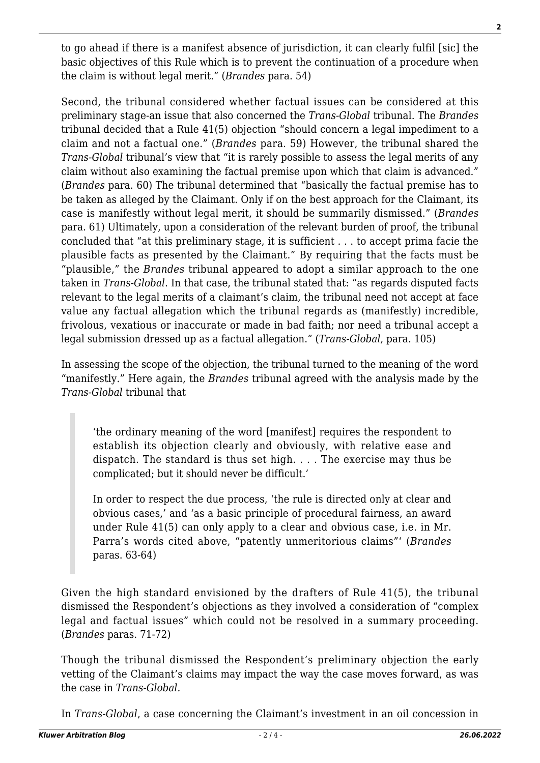to go ahead if there is a manifest absence of jurisdiction, it can clearly fulfil [sic] the basic objectives of this Rule which is to prevent the continuation of a procedure when the claim is without legal merit." (*Brandes* para. 54)

Second, the tribunal considered whether factual issues can be considered at this preliminary stage-an issue that also concerned the *Trans-Global* tribunal. The *Brandes* tribunal decided that a Rule 41(5) objection "should concern a legal impediment to a claim and not a factual one." (*Brandes* para. 59) However, the tribunal shared the *Trans-Global* tribunal's view that "it is rarely possible to assess the legal merits of any claim without also examining the factual premise upon which that claim is advanced." (*Brandes* para. 60) The tribunal determined that "basically the factual premise has to be taken as alleged by the Claimant. Only if on the best approach for the Claimant, its case is manifestly without legal merit, it should be summarily dismissed." (*Brandes* para. 61) Ultimately, upon a consideration of the relevant burden of proof, the tribunal concluded that "at this preliminary stage, it is sufficient . . . to accept prima facie the plausible facts as presented by the Claimant." By requiring that the facts must be "plausible," the *Brandes* tribunal appeared to adopt a similar approach to the one taken in *Trans-Global*. In that case, the tribunal stated that: "as regards disputed facts relevant to the legal merits of a claimant's claim, the tribunal need not accept at face value any factual allegation which the tribunal regards as (manifestly) incredible, frivolous, vexatious or inaccurate or made in bad faith; nor need a tribunal accept a legal submission dressed up as a factual allegation." (*Trans-Global*, para. 105)

In assessing the scope of the objection, the tribunal turned to the meaning of the word "manifestly." Here again, the *Brandes* tribunal agreed with the analysis made by the *Trans-Global* tribunal that

'the ordinary meaning of the word [manifest] requires the respondent to establish its objection clearly and obviously, with relative ease and dispatch. The standard is thus set high. . . . The exercise may thus be complicated; but it should never be difficult.'

In order to respect the due process, 'the rule is directed only at clear and obvious cases,' and 'as a basic principle of procedural fairness, an award under Rule 41(5) can only apply to a clear and obvious case, i.e. in Mr. Parra's words cited above, "patently unmeritorious claims"' (*Brandes* paras. 63-64)

Given the high standard envisioned by the drafters of Rule 41(5), the tribunal dismissed the Respondent's objections as they involved a consideration of "complex legal and factual issues" which could not be resolved in a summary proceeding. (*Brandes* paras. 71-72)

Though the tribunal dismissed the Respondent's preliminary objection the early vetting of the Claimant's claims may impact the way the case moves forward, as was the case in *Trans-Global*.

In *Trans-Global*, a case concerning the Claimant's investment in an oil concession in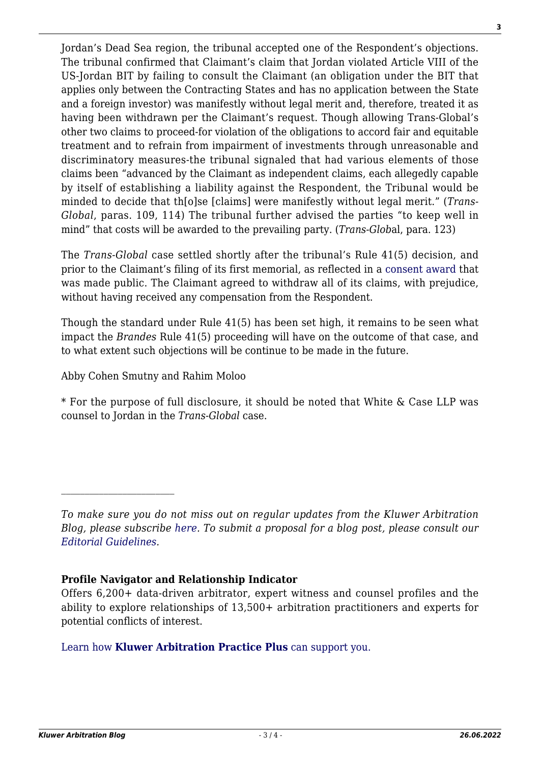Jordan's Dead Sea region, the tribunal accepted one of the Respondent's objections. The tribunal confirmed that Claimant's claim that Jordan violated Article VIII of the US-Jordan BIT by failing to consult the Claimant (an obligation under the BIT that applies only between the Contracting States and has no application between the State and a foreign investor) was manifestly without legal merit and, therefore, treated it as having been withdrawn per the Claimant's request. Though allowing Trans-Global's other two claims to proceed-for violation of the obligations to accord fair and equitable treatment and to refrain from impairment of investments through unreasonable and discriminatory measures-the tribunal signaled that had various elements of those claims been "advanced by the Claimant as independent claims, each allegedly capable by itself of establishing a liability against the Respondent, the Tribunal would be minded to decide that th[o]se [claims] were manifestly without legal merit." (*Trans-Global*, paras. 109, 114) The tribunal further advised the parties "to keep well in mind" that costs will be awarded to the prevailing party. (*Trans-Glob*al, para. 123)

The *Trans-Global* case settled shortly after the tribunal's Rule 41(5) decision, and prior to the Claimant's filing of its first memorial, as reflected in a [consent award](http://ita.law.uvic.ca/documents/Trans-GlobalAward.pdf) that was made public. The Claimant agreed to withdraw all of its claims, with prejudice, without having received any compensation from the Respondent.

Though the standard under Rule 41(5) has been set high, it remains to be seen what impact the *Brandes* Rule 41(5) proceeding will have on the outcome of that case, and to what extent such objections will be continue to be made in the future.

Abby Cohen Smutny and Rahim Moloo

 $\mathcal{L}_\text{max}$ 

\* For the purpose of full disclosure, it should be noted that White & Case LLP was counsel to Jordan in the *Trans-Global* case.

## **Profile Navigator and Relationship Indicator**

## [Learn how](https://www.wolterskluwer.com/en/solutions/kluwerarbitration/practiceplus?utm_source=arbitrationblog&utm_medium=articleCTA&utm_campaign=article-banner) **[Kluwer Arbitration Practice Plus](https://www.wolterskluwer.com/en/solutions/kluwerarbitration/practiceplus?utm_source=arbitrationblog&utm_medium=articleCTA&utm_campaign=article-banner)** [can support you.](https://www.wolterskluwer.com/en/solutions/kluwerarbitration/practiceplus?utm_source=arbitrationblog&utm_medium=articleCTA&utm_campaign=article-banner)

*To make sure you do not miss out on regular updates from the Kluwer Arbitration Blog, please subscribe [here](http://arbitrationblog.kluwerarbitration.com/newsletter/). To submit a proposal for a blog post, please consult our [Editorial Guidelines.](http://arbitrationblog.kluwerarbitration.com/editorial-guidelines/)*

Offers 6,200+ data-driven arbitrator, expert witness and counsel profiles and the ability to explore relationships of 13,500+ arbitration practitioners and experts for potential conflicts of interest.